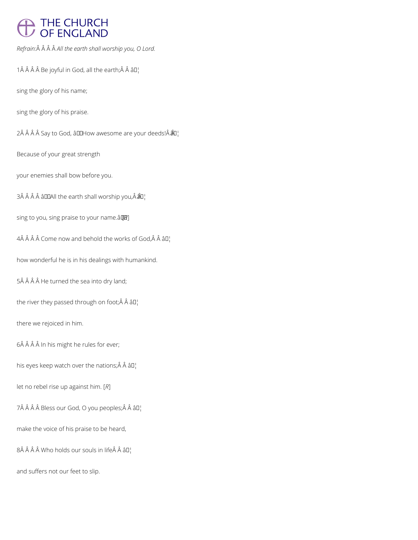## THE CHURCH<br>OF ENGLAND

*Refrain: All the earth shall worship you, O Lord.*

1 $\hat{A}$   $\hat{A}$   $\hat{A}$   $\hat{B}$  Be joyful in God, all the earth; $\hat{A}$   $\hat{A}$   $\hat{B}$  $\Gamma$ 

sing the glory of his name;

sing the glory of his praise.

 $2\hat{A}$   $\hat{A}$   $\hat{A}$   $\hat{A}$  Say to God,  $\hat{a}$ UHow awesome are your deeds! $\hat{A}$  $\hat{A}$ U<sub>i</sub>

Because of your great strength

your enemies shall bow before you.

 $3\hat{A}$   $\hat{A}$   $\hat{A}$   $\hat{A}$  and  $\hat{B}$  the earth shall worship you,  $\hat{A}$   $\hat{B}$  $\hat{B}$ ,

sing to you, sing praise to your name.â [*R*]

 $4\hat{A}$   $\hat{A}$   $\hat{A}$   $\hat{C}$  come now and behold the works of God,  $\hat{A}$   $\hat{A}$   $\hat{B}$  $I$ 

how wonderful he is in his dealings with humankind.

5Â Â Â Â He turned the sea into dry land;

the river they passed through on foot; $\hat{A}$   $\hat{A}$   $\hat{a}$  $\Box$ 

there we rejoiced in him.

6Â Â Â Â In his might he rules for ever;

his eyes keep watch over the nations; $\hat{A}$   $\hat{A}$   $\hat{a}$  $\Gamma$ <sub>1</sub>

let no rebel rise up against him. [*R*]

7Â Â Â Â Bless our God, O you peoples; Â Â â D¦

make the voice of his praise to be heard,

 $8\hat{A}$   $\hat{A}$   $\hat{A}$  Who holds our souls in life $\hat{A}$   $\hat{A}$   $3\Pi$ <sub>1</sub>

and suffers not our feet to slip.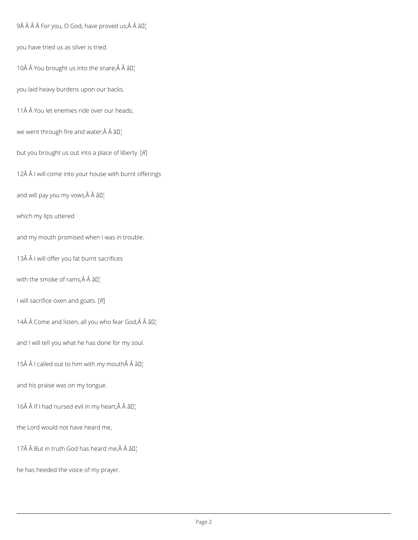$9\hat{A}$   $\hat{A}$   $\hat{A}$   $\hat{B}$  For you, O God, have proved us; $\hat{A}$   $\hat{A}$   $\hat{a}$   $\Pi$ <sup>1</sup>

you have tried us as silver is tried.

10 $\hat{A}$   $\hat{A}$  You brought us into the snare; $\hat{A}$   $\hat{A}$   $\hat{a}$  $\Box$ 

you laid heavy burdens upon our backs.

11Â Â You let enemies ride over our heads;

we went through fire and water; $\hat{A}$   $\hat{A}$   $\hat{a}$  $\Box$ 

but you brought us out into a place of liberty. [*R*]

12Â Â I will come into your house with burnt offerings

and will pay you my vows,  $\hat{A}$   $\hat{A}$   $\hat{a}$  $\Box$ 

which my lips uttered

and my mouth promised when I was in trouble.

13Â Â I will offer you fat burnt sacrifices

with the smoke of rams; $\hat{A}$   $\hat{A}$   $\hat{a}$  $I'_{1}$ 

I will sacrifice oxen and goats. [*R*]

14 $\hat{A}$   $\hat{A}$  Come and listen, all you who fear God, $\hat{A}$   $\hat{A}$   $\hat{a}$  $\Box$ 

and I will tell you what he has done for my soul.

15 $\hat{A}$   $\hat{A}$  I called out to him with my mouth  $\hat{A}$   $\hat{A}$   $\hat{a}$   $\Box$ 

and his praise was on my tongue.

16 $\hat{A}$   $\hat{A}$  If I had nursed evil in my heart, $\hat{A}$   $\hat{A}$   $\hat{a}$  $\Box$ 

the Lord would not have heard me,

17 $\hat{A}$   $\hat{A}$  But in truth God has heard me; $\hat{A}$   $\hat{A}$   $\hat{a}$  $\Box$ 

he has heeded the voice of my prayer.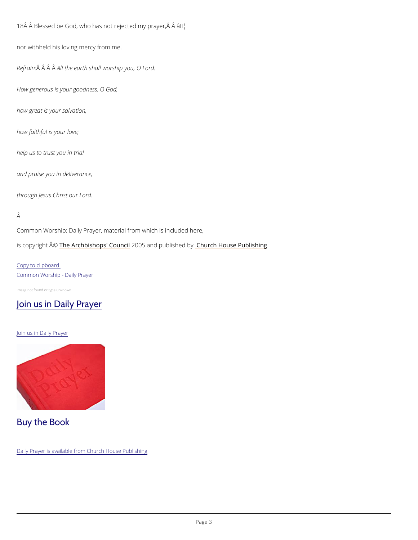18 Å Å Blessed be God, who has not raj<sup>e</sup>ted my prayer,  $\hat{A}$  Å

nor withheld his loving mercy from me.

Refra $\hat{A}$ in $\hat{A}$   $\hat{A}$   $\hat{A}$  the earth shall worship you, O Lord.

Common Worship: Daily Prayer, material from which is included here, is copyrighth  $\hat{\mathbb{A}}$  @Archbishops' 2000 u5 n and publish hend roby House Publishing

How generous is your goodness, O God,

how great is your salvation,

how faithful is your love;

help us to trust you in trial

and praise you in deliverance;

through Jesus Christ our Lord.

## Â

Copy to clipboard Common Worship - Daily Prayer

Image not found or type unknown

## [Join us in Daily Prayer](/prayer-and-worship/join-us-in-daily-prayer)

Join us in Daily Prayer



Daily Prayer is available from Church House Publishing